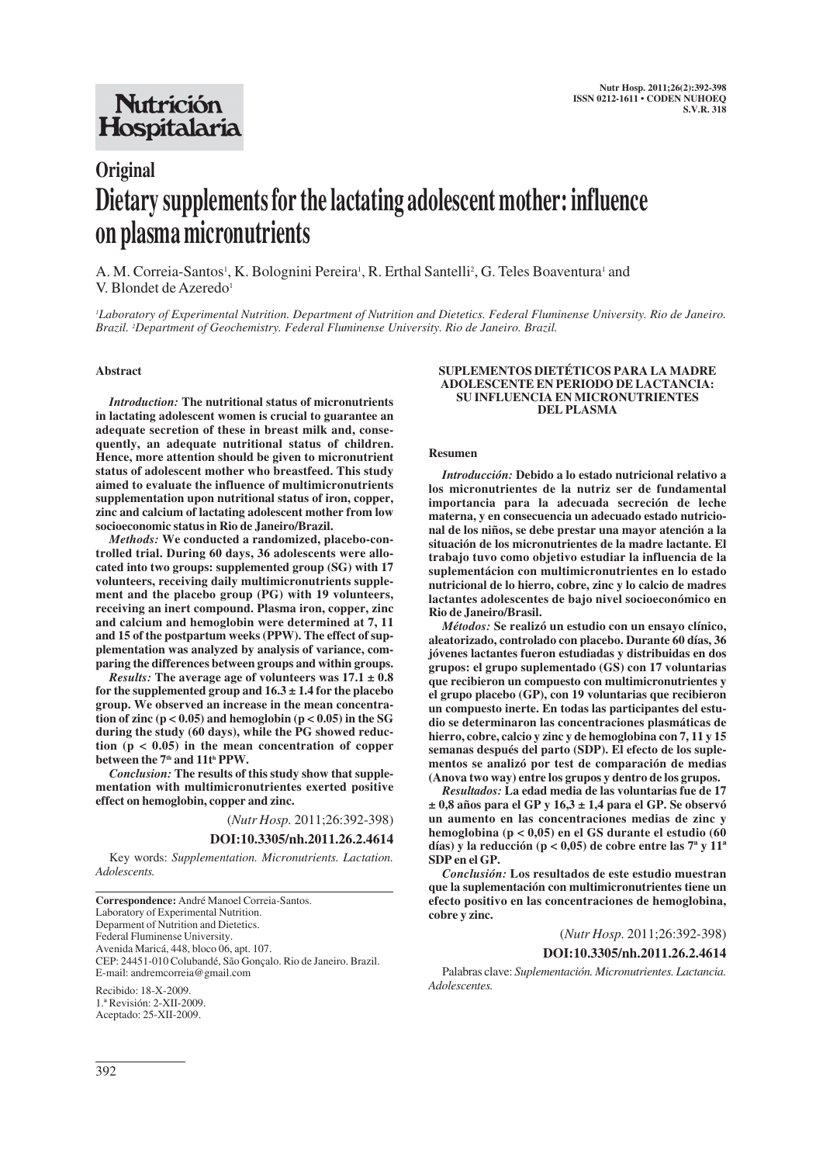## **Nutrición** Hospitalaria

# **Original Dietary supplements for the lactating adolescent mother: influence on plasma micronutrients**

A. M. Correia-Santos<sup>1</sup>, K. Bolognini Pereira<sup>1</sup>, R. Erthal Santelli<sup>2</sup>, G. Teles Boaventura<sup>1</sup> and V. Blondet de Azeredo<sup>1</sup>

*1 Laboratory of Experimental Nutrition. Department of Nutrition and Dietetics. Federal Fluminense University. Rio de Janeiro. Brazil. <sup>2</sup> Department of Geochemistry. Federal Fluminense University. Rio de Janeiro. Brazil.*

#### **Abstract**

*Introduction:* **The nutritional status of micronutrients in lactating adolescent women is crucial to guarantee an adequate secretion of these in breast milk and, consequently, an adequate nutritional status of children. Hence, more attention should be given to micronutrient status of adolescent mother who breastfeed. This study aimed to evaluate the influence of multimicronutrients supplementation upon nutritional status of iron, copper, zinc and calcium of lactating adolescent mother from low socioeconomic status in Rio de Janeiro/Brazil.** 

*Methods:* **We conducted a randomized, placebo-controlled trial. During 60 days, 36 adolescents were allocated into two groups: supplemented group (SG) with 17 volunteers, receiving daily multimicronutrients supplement and the placebo group (PG) with 19 volunteers, receiving an inert compound. Plasma iron, copper, zinc and calcium and hemoglobin were determined at 7, 11 and 15 of the postpartum weeks (PPW). The effect of supplementation was analyzed by analysis of variance, comparing the differences between groups and within groups.** 

*Results:* The average age of volunteers was  $17.1 \pm 0.8$ **for the supplemented group and 16.3 ± 1.4 for the placebo group. We observed an increase in the mean concentra**tion of zinc  $(p < 0.05)$  and hemoglobin  $(p < 0.05)$  in the SG **during the study (60 days), while the PG showed reduction (p < 0.05) in the mean concentration of copper between the 7th and 11th PPW.**

*Conclusion:* **The results of this study show that supplementation with multimicronutrientes exerted positive effect on hemoglobin, copper and zinc.**

(*Nutr Hosp.* 2011;26:392-398)

## **DOI:10.3305/nh.2011.26.2.4614**

Key words: *Supplementation. Micronutrients. Lactation. Adolescents.*

Aceptado: 25-XII-2009.

#### **SUPLEMENTOS DIETÉTICOS PARA LA MADRE ADOLESCENTE EN PERIODO DE LACTANCIA: SU INFLUENCIA EN MICRONUTRIENTES DEL PLASMA**

#### **Resumen**

*Introducción:* **Debido a lo estado nutricional relativo a los micronutrientes de la nutriz ser de fundamental importancia para la adecuada secreción de leche materna, y en consecuencia un adecuado estado nutricional de los niños, se debe prestar una mayor atención a la situación de los micronutrientes de la madre lactante. El trabajo tuvo como objetivo estudiar la influencia de la suplementácion con multimicronutrientes en lo estado nutricional de lo hierro, cobre, zinc y lo calcio de madres lactantes adolescentes de bajo nivel socioeconómico en Rio de Janeiro/Brasil.** 

*Métodos:* **Se realizó un estudio con un ensayo clínico, aleatorizado, controlado con placebo. Durante 60 días, 36 jóvenes lactantes fueron estudiadas y distribuidas en dos grupos: el grupo suplementado (GS) con 17 voluntarias que recibieron un compuesto con multimicronutrientes y el grupo placebo (GP), con 19 voluntarias que recibieron un compuesto inerte. En todas las participantes del estudio se determinaron las concentraciones plasmáticas de hierro, cobre, calcio y zinc y de hemoglobina con 7, 11 y 15 semanas después del parto (SDP). El efecto de los suplementos se analizó por test de comparación de medias (Anova two way) entre los grupos y dentro de los grupos.**

*Resultados:* **La edad media de las voluntarias fue de 17 ± 0,8 años para el GP y 16,3 ± 1,4 para el GP. Se observó un aumento en las concentraciones medias de zinc y hemoglobina (p < 0,05) en el GS durante el estudio (60 días) y la reducción (p < 0,05) de cobre entre las 7ª y 11ª SDP en el GP.**

*Conclusión:* **Los resultados de este estudio muestran que la suplementación con multimicronutrientes tiene un efecto positivo en las concentraciones de hemoglobina, cobre y zinc.**

(*Nutr Hosp.* 2011;26:392-398)

**DOI:10.3305/nh.2011.26.2.4614**

Palabras clave: *Suplementación. Micronutrientes. Lactancia. Adolescentes.*

**Correspondence:** André Manoel Correia-Santos. Laboratory of Experimental Nutrition. Deparment of Nutrition and Dietetics. Federal Fluminense University. Avenida Maricá, 448, bloco 06, apt. 107. CEP: 24451-010 Colubandé, São Gonçalo. Rio de Janeiro. Brazil. E-mail: andremcorreia@gmail.com Recibido: 18-X-2009. 1.ª Revisión: 2-XII-2009.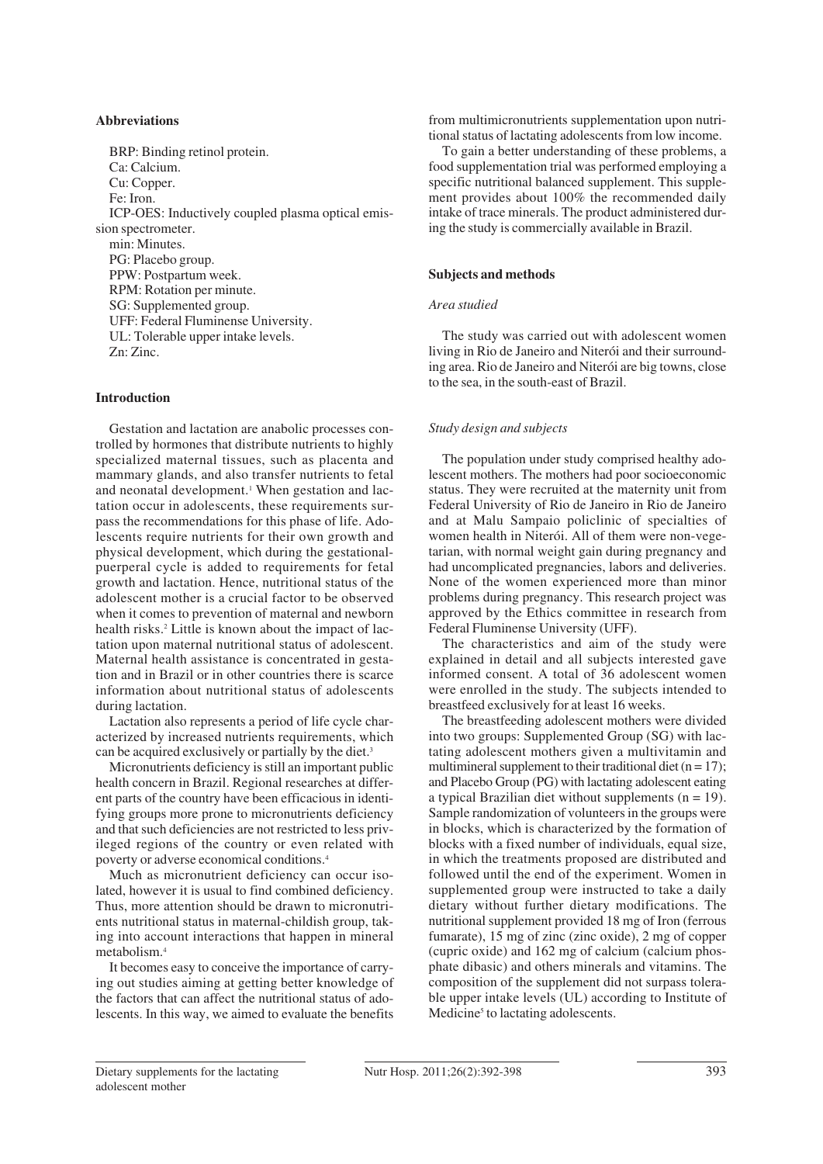## **Abbreviations**

BRP: Binding retinol protein. Ca: Calcium. Cu: Copper. Fe: Iron. ICP-OES: Inductively coupled plasma optical emission spectrometer. min: Minutes. PG: Placebo group. PPW: Postpartum week. RPM: Rotation per minute. SG: Supplemented group. UFF: Federal Fluminense University. UL: Tolerable upper intake levels. Zn: Zinc.

## **Introduction**

Gestation and lactation are anabolic processes controlled by hormones that distribute nutrients to highly specialized maternal tissues, such as placenta and mammary glands, and also transfer nutrients to fetal and neonatal development.<sup>1</sup> When gestation and lactation occur in adolescents, these requirements surpass the recommendations for this phase of life. Adolescents require nutrients for their own growth and physical development, which during the gestationalpuerperal cycle is added to requirements for fetal growth and lactation. Hence, nutritional status of the adolescent mother is a crucial factor to be observed when it comes to prevention of maternal and newborn health risks.<sup>2</sup> Little is known about the impact of lactation upon maternal nutritional status of adolescent. Maternal health assistance is concentrated in gestation and in Brazil or in other countries there is scarce information about nutritional status of adolescents during lactation.

Lactation also represents a period of life cycle characterized by increased nutrients requirements, which can be acquired exclusively or partially by the diet.3

Micronutrients deficiency is still an important public health concern in Brazil. Regional researches at different parts of the country have been efficacious in identifying groups more prone to micronutrients deficiency and that such deficiencies are not restricted to less privileged regions of the country or even related with poverty or adverse economical conditions.4

Much as micronutrient deficiency can occur isolated, however it is usual to find combined deficiency. Thus, more attention should be drawn to micronutrients nutritional status in maternal-childish group, taking into account interactions that happen in mineral metabolism.4

It becomes easy to conceive the importance of carrying out studies aiming at getting better knowledge of the factors that can affect the nutritional status of adolescents. In this way, we aimed to evaluate the benefits

from multimicronutrients supplementation upon nutritional status of lactating adolescents from low income.

To gain a better understanding of these problems, a food supplementation trial was performed employing a specific nutritional balanced supplement. This supplement provides about 100% the recommended daily intake of trace minerals. The product administered during the study is commercially available in Brazil.

## **Subjects and methods**

#### *Area studied*

The study was carried out with adolescent women living in Rio de Janeiro and Niterói and their surrounding area. Rio de Janeiro and Niterói are big towns, close to the sea, in the south-east of Brazil.

## *Study design and subjects*

The population under study comprised healthy adolescent mothers. The mothers had poor socioeconomic status. They were recruited at the maternity unit from Federal University of Rio de Janeiro in Rio de Janeiro and at Malu Sampaio policlinic of specialties of women health in Niterói. All of them were non-vegetarian, with normal weight gain during pregnancy and had uncomplicated pregnancies, labors and deliveries. None of the women experienced more than minor problems during pregnancy. This research project was approved by the Ethics committee in research from Federal Fluminense University (UFF).

The characteristics and aim of the study were explained in detail and all subjects interested gave informed consent. A total of 36 adolescent women were enrolled in the study. The subjects intended to breastfeed exclusively for at least 16 weeks.

The breastfeeding adolescent mothers were divided into two groups: Supplemented Group (SG) with lactating adolescent mothers given a multivitamin and multimineral supplement to their traditional diet  $(n = 17)$ ; and Placebo Group (PG) with lactating adolescent eating a typical Brazilian diet without supplements  $(n = 19)$ . Sample randomization of volunteers in the groups were in blocks, which is characterized by the formation of blocks with a fixed number of individuals, equal size, in which the treatments proposed are distributed and followed until the end of the experiment. Women in supplemented group were instructed to take a daily dietary without further dietary modifications. The nutritional supplement provided 18 mg of Iron (ferrous fumarate), 15 mg of zinc (zinc oxide), 2 mg of copper (cupric oxide) and 162 mg of calcium (calcium phosphate dibasic) and others minerals and vitamins. The composition of the supplement did not surpass tolerable upper intake levels (UL) according to Institute of Medicine<sup>5</sup> to lactating adolescents.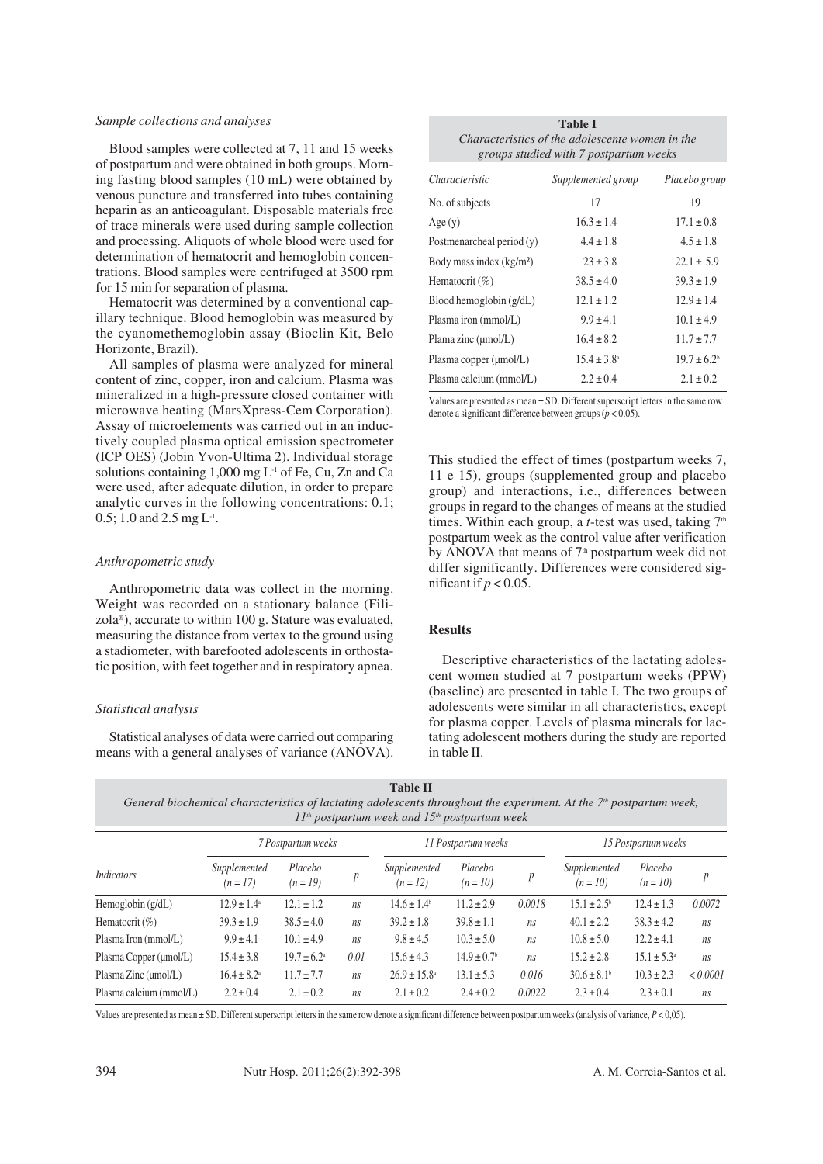#### *Sample collections and analyses*

Blood samples were collected at 7, 11 and 15 weeks of postpartum and were obtained in both groups. Morning fasting blood samples (10 mL) were obtained by venous puncture and transferred into tubes containing heparin as an anticoagulant. Disposable materials free of trace minerals were used during sample collection and processing. Aliquots of whole blood were used for determination of hematocrit and hemoglobin concentrations. Blood samples were centrifuged at 3500 rpm for 15 min for separation of plasma.

Hematocrit was determined by a conventional capillary technique. Blood hemoglobin was measured by the cyanomethemoglobin assay (Bioclin Kit, Belo Horizonte, Brazil).

All samples of plasma were analyzed for mineral content of zinc, copper, iron and calcium. Plasma was mineralized in a high-pressure closed container with microwave heating (MarsXpress-Cem Corporation). Assay of microelements was carried out in an inductively coupled plasma optical emission spectrometer (ICP OES) (Jobin Yvon-Ultima 2). Individual storage solutions containing  $1,000$  mg  $L<sup>1</sup>$  of Fe, Cu, Zn and Ca were used, after adequate dilution, in order to prepare analytic curves in the following concentrations: 0.1; 0.5; 1.0 and 2.5 mg  $L^{-1}$ .

#### *Anthropometric study*

Anthropometric data was collect in the morning. Weight was recorded on a stationary balance (Filizola®), accurate to within 100 g. Stature was evaluated, measuring the distance from vertex to the ground using a stadiometer, with barefooted adolescents in orthostatic position, with feet together and in respiratory apnea.

## *Statistical analysis*

Statistical analyses of data were carried out comparing means with a general analyses of variance (ANOVA).

| <b>Table I</b>                                  |  |  |  |  |  |  |
|-------------------------------------------------|--|--|--|--|--|--|
| Characteristics of the adolescente women in the |  |  |  |  |  |  |
| groups studied with 7 postpartum weeks          |  |  |  |  |  |  |

| Characteristic            | Supplemented group     | Placebo group               |  |  |
|---------------------------|------------------------|-----------------------------|--|--|
| No. of subjects           | 17                     | 19                          |  |  |
| Age(y)                    | $16.3 \pm 1.4$         | $17.1 \pm 0.8$              |  |  |
| Postmenarcheal period (y) | $4.4 \pm 1.8$          | $4.5 \pm 1.8$               |  |  |
| Body mass index $(kg/m2)$ | $23 \pm 3.8$           | $22.1 \pm 5.9$              |  |  |
| Hematocrit $(\%)$         | $38.5 \pm 4.0$         | $39.3 \pm 1.9$              |  |  |
| Blood hemoglobin $(g/dL)$ | $12.1 \pm 1.2$         | $12.9 \pm 1.4$              |  |  |
| Plasma iron (mmol/L)      | $9.9 \pm 4.1$          | $10.1 \pm 4.9$              |  |  |
| Plama zinc (µmol/L)       | $16.4 \pm 8.2$         | $11.7 \pm 7.7$              |  |  |
| Plasma copper (µmol/L)    | $15.4 \pm 3.8^{\circ}$ | $19.7 \pm 6.2$ <sup>b</sup> |  |  |
| Plasma calcium (mmol/L)   | $2.2 \pm 0.4$          | $2.1 \pm 0.2$               |  |  |

Values are presented as mean ± SD. Different superscript letters in the same row denote a significant difference between groups (*p* < 0,05).

This studied the effect of times (postpartum weeks 7, 11 e 15), groups (supplemented group and placebo group) and interactions, i.e., differences between groups in regard to the changes of means at the studied times. Within each group, a *t*-test was used, taking 7<sup>th</sup> postpartum week as the control value after verification by ANOVA that means of 7<sup>th</sup> postpartum week did not differ significantly. Differences were considered significant if  $p < 0.05$ .

## **Results**

Descriptive characteristics of the lactating adolescent women studied at 7 postpartum weeks (PPW) (baseline) are presented in table I. The two groups of adolescents were similar in all characteristics, except for plasma copper. Levels of plasma minerals for lactating adolescent mothers during the study are reported in table II.

**Table II**

*General biochemical characteristics of lactating adolescents throughout the experiment. At the 7<sup>th</sup> postpartum week, 11th postpartum week and 15th postpartum week*

| Indicators              | 7 Postpartum weeks          |                             |      | 11 Postpartum weeks        |                             |                  | 15 Postpartum weeks         |                        |                  |
|-------------------------|-----------------------------|-----------------------------|------|----------------------------|-----------------------------|------------------|-----------------------------|------------------------|------------------|
|                         | Supplemented<br>$(n = 17)$  | Placebo<br>$(n = 19)$       | p    | Supplemented<br>$(n = 12)$ | Placebo<br>$(n = 10)$       | $\boldsymbol{p}$ | Supplemented<br>$(n = 10)$  | Placebo<br>$(n = 10)$  | $\boldsymbol{p}$ |
| Hemoglobin $(g/dL)$     | $12.9 \pm 1.4^{\circ}$      | $12.1 \pm 1.2$              | ns   | $14.6 \pm 1.4^b$           | $11.2 \pm 2.9$              | 0.0018           | $15.1 \pm 2.5^{\circ}$      | $12.4 \pm 1.3$         | 0.0072           |
| Hematocrit $(\%)$       | $39.3 \pm 1.9$              | $38.5 \pm 4.0$              | ns   | $39.2 \pm 1.8$             | $39.8 \pm 1.1$              | ns               | $40.1 \pm 2.2$              | $38.3 \pm 4.2$         | ns               |
| Plasma Iron (mmol/L)    | $9.9 \pm 4.1$               | $10.1 \pm 4.9$              | ns   | $9.8 \pm 4.5$              | $10.3 \pm 5.0$              | ns               | $10.8 \pm 5.0$              | $12.2 \pm 4.1$         | ns               |
| Plasma Copper (µmol/L)  | $15.4 \pm 3.8$              | $19.7 \pm 6.2$ <sup>a</sup> | 0.01 | $15.6 \pm 4.3$             | $14.9 \pm 0.7$ <sup>b</sup> | ns               | $15.2 \pm 2.8$              | $15.1 \pm 5.3^{\circ}$ | ns               |
| Plasma Zinc (µmol/L)    | $16.4 \pm 8.2$ <sup>a</sup> | $11.7 \pm 7.7$              | ns   | $26.9 \pm 15.8^{\circ}$    | $13.1 \pm 5.3$              | 0.016            | $30.6 \pm 8.1$ <sup>b</sup> | $10.3 \pm 2.3$         | < 0.0001         |
| Plasma calcium (mmol/L) | $2.2 \pm 0.4$               | $2.1 \pm 0.2$               | ns   | $2.1 \pm 0.2$              | $2.4 \pm 0.2$               | 0.0022           | $2.3 \pm 0.4$               | $2.3 \pm 0.1$          | ns               |

Values are presented as mean ± SD. Different superscript letters in the same row denote a significant difference between postpartum weeks (analysis of variance, *P* < 0,05).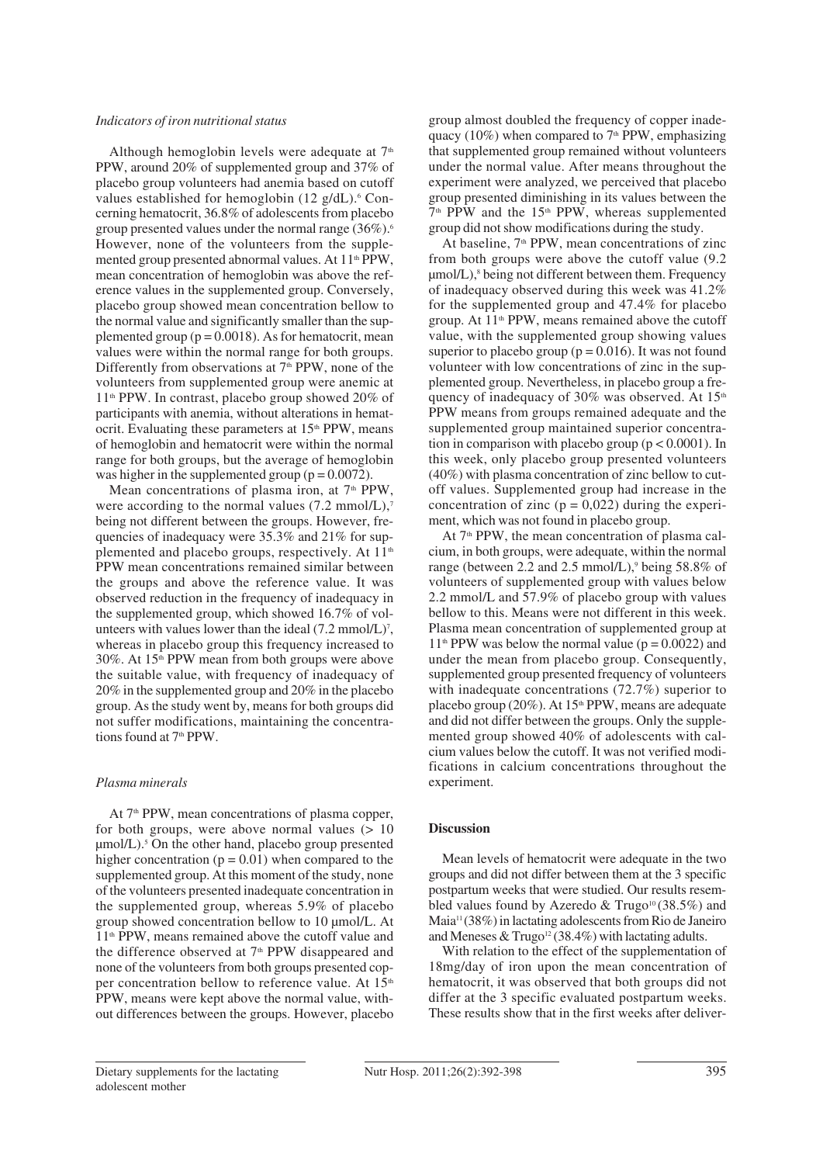#### *Indicators of iron nutritional status*

Although hemoglobin levels were adequate at  $7<sup>th</sup>$ PPW, around 20% of supplemented group and 37% of placebo group volunteers had anemia based on cutoff values established for hemoglobin  $(12 \text{ g}/dL)$ .<sup>6</sup> Concerning hematocrit, 36.8% of adolescents from placebo group presented values under the normal range (36%).6 However, none of the volunteers from the supplemented group presented abnormal values. At 11<sup>th</sup> PPW, mean concentration of hemoglobin was above the reference values in the supplemented group. Conversely, placebo group showed mean concentration bellow to the normal value and significantly smaller than the supplemented group ( $p = 0.0018$ ). As for hematocrit, mean values were within the normal range for both groups. Differently from observations at  $7<sup>th</sup>$  PPW, none of the volunteers from supplemented group were anemic at 11th PPW. In contrast, placebo group showed 20% of participants with anemia, without alterations in hematocrit. Evaluating these parameters at  $15<sup>th</sup>$  PPW, means of hemoglobin and hematocrit were within the normal range for both groups, but the average of hemoglobin was higher in the supplemented group  $(p = 0.0072)$ .

Mean concentrations of plasma iron, at 7<sup>th</sup> PPW, were according to the normal values  $(7.2 \text{ mmol/L})$ ,<sup>7</sup> being not different between the groups. However, frequencies of inadequacy were 35.3% and 21% for supplemented and placebo groups, respectively. At 11<sup>th</sup> PPW mean concentrations remained similar between the groups and above the reference value. It was observed reduction in the frequency of inadequacy in the supplemented group, which showed 16.7% of volunteers with values lower than the ideal  $(7.2 \text{ mmol/L})^7$ , whereas in placebo group this frequency increased to 30%. At 15<sup>th</sup> PPW mean from both groups were above the suitable value, with frequency of inadequacy of 20% in the supplemented group and 20% in the placebo group. As the study went by, means for both groups did not suffer modifications, maintaining the concentrations found at 7<sup>th</sup> PPW.

#### *Plasma minerals*

At 7<sup>th</sup> PPW, mean concentrations of plasma copper, for both groups, were above normal values  $(> 10$  $\mu$ mol/L).<sup>5</sup> On the other hand, placebo group presented higher concentration ( $p = 0.01$ ) when compared to the supplemented group. At this moment of the study, none of the volunteers presented inadequate concentration in the supplemented group, whereas 5.9% of placebo group showed concentration bellow to 10 μmol/L. At 11th PPW, means remained above the cutoff value and the difference observed at  $7<sup>th</sup>$  PPW disappeared and none of the volunteers from both groups presented copper concentration bellow to reference value. At 15<sup>th</sup> PPW, means were kept above the normal value, without differences between the groups. However, placebo

group almost doubled the frequency of copper inadequacy (10%) when compared to  $7<sup>th</sup>$  PPW, emphasizing that supplemented group remained without volunteers under the normal value. After means throughout the experiment were analyzed, we perceived that placebo group presented diminishing in its values between the  $7<sup>th</sup>$  PPW and the 15<sup>th</sup> PPW, whereas supplemented group did not show modifications during the study.

At baseline, 7<sup>th</sup> PPW, mean concentrations of zinc from both groups were above the cutoff value (9.2  $\mu$ mol/L),<sup>8</sup> being not different between them. Frequency of inadequacy observed during this week was 41.2% for the supplemented group and 47.4% for placebo group. At 11<sup>th</sup> PPW, means remained above the cutoff value, with the supplemented group showing values superior to placebo group ( $p = 0.016$ ). It was not found volunteer with low concentrations of zinc in the supplemented group. Nevertheless, in placebo group a frequency of inadequacy of 30% was observed. At  $15<sup>th</sup>$ PPW means from groups remained adequate and the supplemented group maintained superior concentration in comparison with placebo group ( $p < 0.0001$ ). In this week, only placebo group presented volunteers (40%) with plasma concentration of zinc bellow to cutoff values. Supplemented group had increase in the concentration of zinc ( $p = 0.022$ ) during the experiment, which was not found in placebo group.

At 7<sup>th</sup> PPW, the mean concentration of plasma calcium, in both groups, were adequate, within the normal range (between 2.2 and 2.5 mmol/L),<sup>9</sup> being 58.8% of volunteers of supplemented group with values below 2.2 mmol/L and 57.9% of placebo group with values bellow to this. Means were not different in this week. Plasma mean concentration of supplemented group at  $11<sup>th</sup>$  PPW was below the normal value ( $p = 0.0022$ ) and under the mean from placebo group. Consequently, supplemented group presented frequency of volunteers with inadequate concentrations (72.7%) superior to placebo group (20%). At  $15<sup>th</sup>$  PPW, means are adequate and did not differ between the groups. Only the supplemented group showed 40% of adolescents with calcium values below the cutoff. It was not verified modifications in calcium concentrations throughout the experiment.

## **Discussion**

Mean levels of hematocrit were adequate in the two groups and did not differ between them at the 3 specific postpartum weeks that were studied. Our results resembled values found by Azeredo & Trugo<sup>10</sup> (38.5%) and Maia11 (38%) in lactating adolescents from Rio de Janeiro and Meneses & Trugo<sup>12</sup> (38.4%) with lactating adults.

With relation to the effect of the supplementation of 18mg/day of iron upon the mean concentration of hematocrit, it was observed that both groups did not differ at the 3 specific evaluated postpartum weeks. These results show that in the first weeks after deliver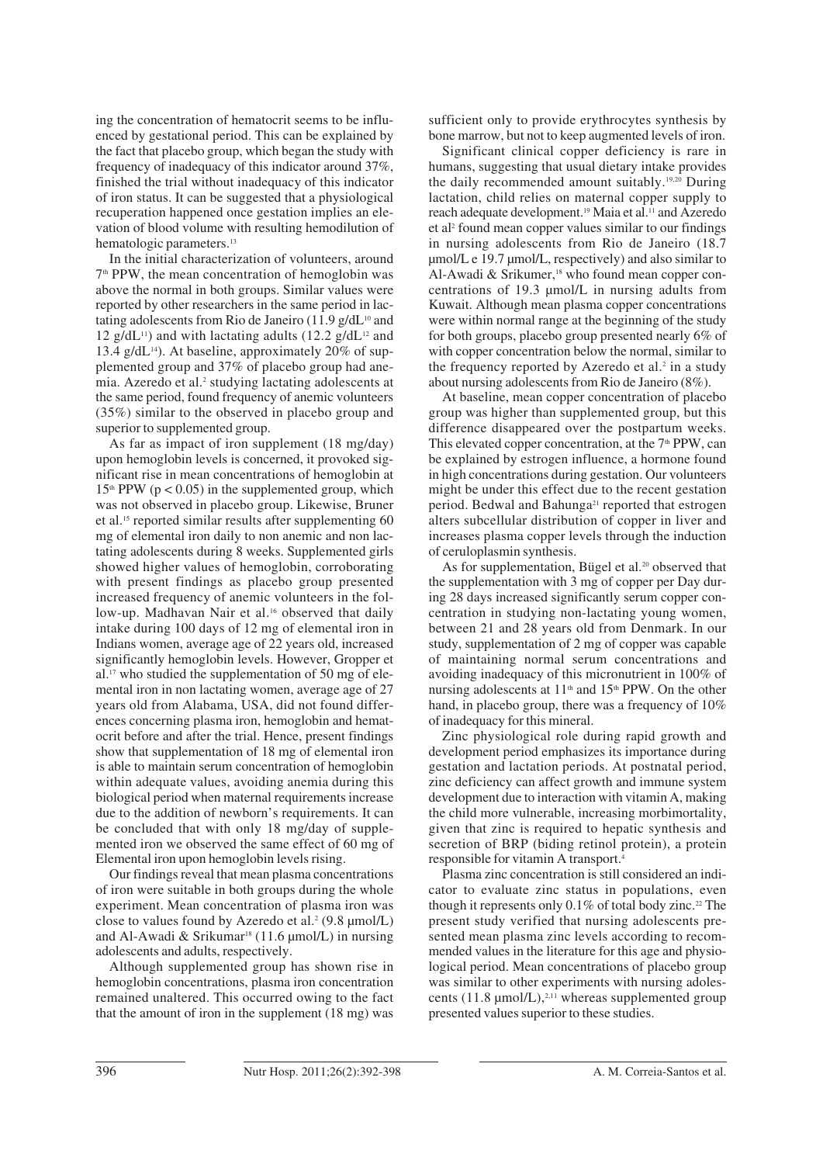ing the concentration of hematocrit seems to be influenced by gestational period. This can be explained by the fact that placebo group, which began the study with frequency of inadequacy of this indicator around 37%, finished the trial without inadequacy of this indicator of iron status. It can be suggested that a physiological recuperation happened once gestation implies an elevation of blood volume with resulting hemodilution of hematologic parameters.<sup>13</sup>

In the initial characterization of volunteers, around 7th PPW, the mean concentration of hemoglobin was above the normal in both groups. Similar values were reported by other researchers in the same period in lactating adolescents from Rio de Janeiro (11.9 g/d $L^{10}$  and 12  $g/dL^{11}$ ) and with lactating adults (12.2  $g/dL^{12}$  and 13.4 g/dL $^{14}$ ). At baseline, approximately 20% of supplemented group and 37% of placebo group had anemia. Azeredo et al.<sup>2</sup> studying lactating adolescents at the same period, found frequency of anemic volunteers (35%) similar to the observed in placebo group and superior to supplemented group.

As far as impact of iron supplement (18 mg/day) upon hemoglobin levels is concerned, it provoked significant rise in mean concentrations of hemoglobin at  $15<sup>th</sup>$  PPW ( $p < 0.05$ ) in the supplemented group, which was not observed in placebo group. Likewise, Bruner et al.15 reported similar results after supplementing 60 mg of elemental iron daily to non anemic and non lactating adolescents during 8 weeks. Supplemented girls showed higher values of hemoglobin, corroborating with present findings as placebo group presented increased frequency of anemic volunteers in the follow-up. Madhavan Nair et al.<sup>16</sup> observed that daily intake during 100 days of 12 mg of elemental iron in Indians women, average age of 22 years old, increased significantly hemoglobin levels. However, Gropper et al.17 who studied the supplementation of 50 mg of elemental iron in non lactating women, average age of 27 years old from Alabama, USA, did not found differences concerning plasma iron, hemoglobin and hematocrit before and after the trial. Hence, present findings show that supplementation of 18 mg of elemental iron is able to maintain serum concentration of hemoglobin within adequate values, avoiding anemia during this biological period when maternal requirements increase due to the addition of newborn's requirements. It can be concluded that with only 18 mg/day of supplemented iron we observed the same effect of 60 mg of Elemental iron upon hemoglobin levels rising.

Our findings reveal that mean plasma concentrations of iron were suitable in both groups during the whole experiment. Mean concentration of plasma iron was close to values found by Azeredo et al.<sup>2</sup> (9.8 μmol/L) and Al-Awadi & Srikumar<sup>18</sup> (11.6  $\mu$ mol/L) in nursing adolescents and adults, respectively.

Although supplemented group has shown rise in hemoglobin concentrations, plasma iron concentration remained unaltered. This occurred owing to the fact that the amount of iron in the supplement (18 mg) was sufficient only to provide erythrocytes synthesis by bone marrow, but not to keep augmented levels of iron.

Significant clinical copper deficiency is rare in humans, suggesting that usual dietary intake provides the daily recommended amount suitably.19,20 During lactation, child relies on maternal copper supply to reach adequate development.19 Maia et al.11 and Azeredo et al2 found mean copper values similar to our findings in nursing adolescents from Rio de Janeiro (18.7 μmol/L e 19.7 μmol/L, respectively) and also similar to Al-Awadi & Srikumer,<sup>18</sup> who found mean copper concentrations of 19.3 μmol/L in nursing adults from Kuwait. Although mean plasma copper concentrations were within normal range at the beginning of the study for both groups, placebo group presented nearly 6% of with copper concentration below the normal, similar to the frequency reported by Azeredo et al. $2$  in a study about nursing adolescents from Rio de Janeiro (8%).

At baseline, mean copper concentration of placebo group was higher than supplemented group, but this difference disappeared over the postpartum weeks. This elevated copper concentration, at the 7<sup>th</sup> PPW, can be explained by estrogen influence, a hormone found in high concentrations during gestation. Our volunteers might be under this effect due to the recent gestation period. Bedwal and Bahunga<sup>21</sup> reported that estrogen alters subcellular distribution of copper in liver and increases plasma copper levels through the induction of ceruloplasmin synthesis.

As for supplementation, Bügel et al.<sup>20</sup> observed that the supplementation with 3 mg of copper per Day during 28 days increased significantly serum copper concentration in studying non-lactating young women, between 21 and 28 years old from Denmark. In our study, supplementation of 2 mg of copper was capable of maintaining normal serum concentrations and avoiding inadequacy of this micronutrient in 100% of nursing adolescents at  $11<sup>th</sup>$  and  $15<sup>th</sup>$  PPW. On the other hand, in placebo group, there was a frequency of 10% of inadequacy for this mineral.

Zinc physiological role during rapid growth and development period emphasizes its importance during gestation and lactation periods. At postnatal period, zinc deficiency can affect growth and immune system development due to interaction with vitamin A, making the child more vulnerable, increasing morbimortality, given that zinc is required to hepatic synthesis and secretion of BRP (biding retinol protein), a protein responsible for vitamin A transport.4

Plasma zinc concentration is still considered an indicator to evaluate zinc status in populations, even though it represents only 0.1% of total body zinc.<sup>22</sup> The present study verified that nursing adolescents presented mean plasma zinc levels according to recommended values in the literature for this age and physiological period. Mean concentrations of placebo group was similar to other experiments with nursing adolescents  $(11.8 \text{ µmol/L})$ ,<sup>2,11</sup> whereas supplemented group presented values superior to these studies.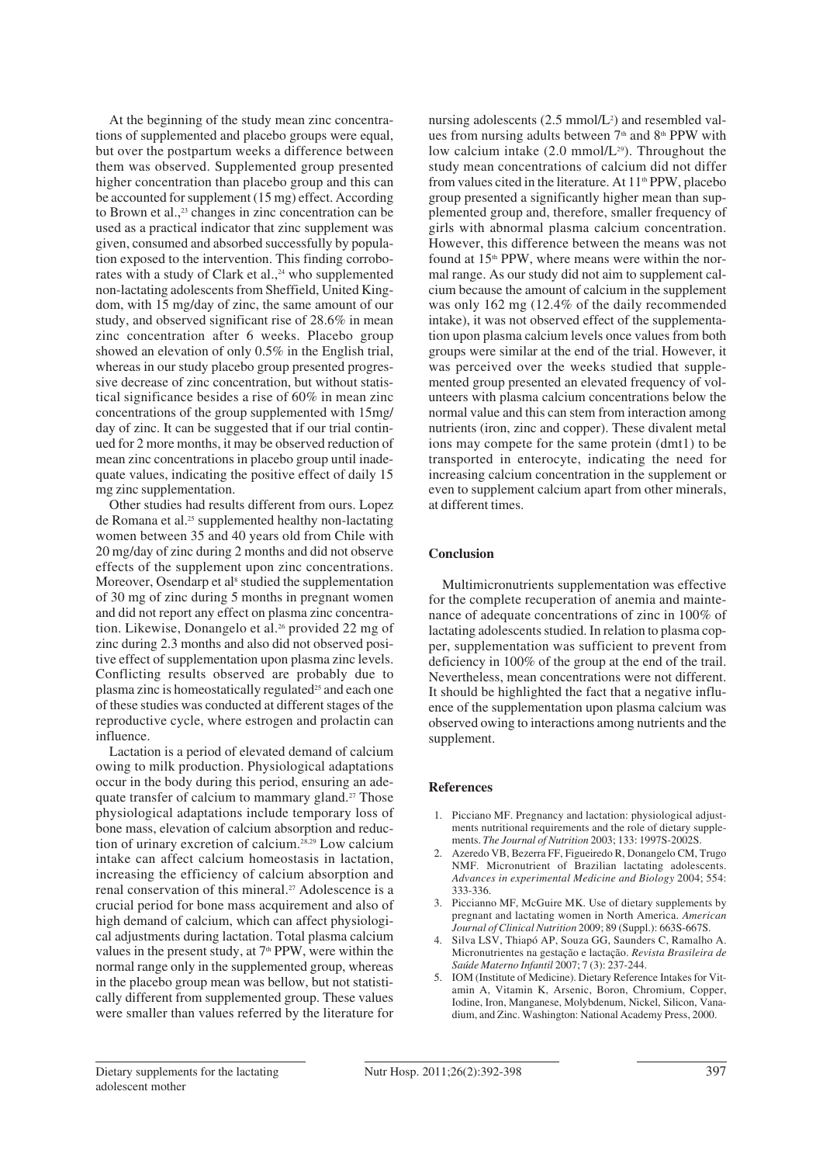At the beginning of the study mean zinc concentrations of supplemented and placebo groups were equal, but over the postpartum weeks a difference between them was observed. Supplemented group presented higher concentration than placebo group and this can be accounted for supplement (15 mg) effect. According to Brown et al., $23$  changes in zinc concentration can be used as a practical indicator that zinc supplement was given, consumed and absorbed successfully by population exposed to the intervention. This finding corroborates with a study of Clark et al., $24$  who supplemented non-lactating adolescents from Sheffield, United Kingdom, with 15 mg/day of zinc, the same amount of our study, and observed significant rise of 28.6% in mean zinc concentration after 6 weeks. Placebo group showed an elevation of only 0.5% in the English trial, whereas in our study placebo group presented progressive decrease of zinc concentration, but without statistical significance besides a rise of 60% in mean zinc concentrations of the group supplemented with 15mg/ day of zinc. It can be suggested that if our trial continued for 2 more months, it may be observed reduction of mean zinc concentrations in placebo group until inadequate values, indicating the positive effect of daily 15 mg zinc supplementation.

Other studies had results different from ours. Lopez de Romana et al.25 supplemented healthy non-lactating women between 35 and 40 years old from Chile with 20 mg/day of zinc during 2 months and did not observe effects of the supplement upon zinc concentrations. Moreover, Osendarp et al<sup>8</sup> studied the supplementation of 30 mg of zinc during 5 months in pregnant women and did not report any effect on plasma zinc concentration. Likewise, Donangelo et al.<sup>26</sup> provided 22 mg of zinc during 2.3 months and also did not observed positive effect of supplementation upon plasma zinc levels. Conflicting results observed are probably due to plasma zinc is homeostatically regulated<sup>25</sup> and each one of these studies was conducted at different stages of the reproductive cycle, where estrogen and prolactin can influence.

Lactation is a period of elevated demand of calcium owing to milk production. Physiological adaptations occur in the body during this period, ensuring an adequate transfer of calcium to mammary gland.<sup>27</sup> Those physiological adaptations include temporary loss of bone mass, elevation of calcium absorption and reduction of urinary excretion of calcium.<sup>28,29</sup> Low calcium intake can affect calcium homeostasis in lactation, increasing the efficiency of calcium absorption and renal conservation of this mineral.<sup>27</sup> Adolescence is a crucial period for bone mass acquirement and also of high demand of calcium, which can affect physiological adjustments during lactation. Total plasma calcium values in the present study, at  $7<sup>th</sup>$  PPW, were within the normal range only in the supplemented group, whereas in the placebo group mean was bellow, but not statistically different from supplemented group. These values were smaller than values referred by the literature for

nursing adolescents  $(2.5 \text{ mmol/L}^2)$  and resembled values from nursing adults between  $7<sup>th</sup>$  and  $8<sup>th</sup>$  PPW with low calcium intake  $(2.0 \text{ mmol/L}^{29})$ . Throughout the study mean concentrations of calcium did not differ from values cited in the literature. At  $11<sup>th</sup>$  PPW, placebo group presented a significantly higher mean than supplemented group and, therefore, smaller frequency of girls with abnormal plasma calcium concentration. However, this difference between the means was not found at  $15<sup>th</sup>$  PPW, where means were within the normal range. As our study did not aim to supplement calcium because the amount of calcium in the supplement was only 162 mg (12.4% of the daily recommended intake), it was not observed effect of the supplementation upon plasma calcium levels once values from both groups were similar at the end of the trial. However, it was perceived over the weeks studied that supplemented group presented an elevated frequency of volunteers with plasma calcium concentrations below the normal value and this can stem from interaction among nutrients (iron, zinc and copper). These divalent metal ions may compete for the same protein (dmt1) to be transported in enterocyte, indicating the need for increasing calcium concentration in the supplement or even to supplement calcium apart from other minerals, at different times.

## **Conclusion**

Multimicronutrients supplementation was effective for the complete recuperation of anemia and maintenance of adequate concentrations of zinc in 100% of lactating adolescents studied. In relation to plasma copper, supplementation was sufficient to prevent from deficiency in 100% of the group at the end of the trail. Nevertheless, mean concentrations were not different. It should be highlighted the fact that a negative influence of the supplementation upon plasma calcium was observed owing to interactions among nutrients and the supplement.

## **References**

- 1. Picciano MF. Pregnancy and lactation: physiological adjustments nutritional requirements and the role of dietary supplements. *The Journal of Nutrition* 2003; 133: 1997S-2002S.
- 2. Azeredo VB, Bezerra FF, Figueiredo R, Donangelo CM, Trugo NMF. Micronutrient of Brazilian lactating adolescents. *Advances in experimental Medicine and Biology* 2004; 554: 333-336.
- 3. Piccianno MF, McGuire MK. Use of dietary supplements by pregnant and lactating women in North America. *American Journal of Clinical Nutrition* 2009; 89 (Suppl.): 663S-667S.
- 4. Silva LSV, Thiapó AP, Souza GG, Saunders C, Ramalho A. Micronutrientes na gestação e lactação. *Revista Brasileira de Saúde Materno Infantil* 2007; 7 (3): 237-244.
- 5. IOM (Institute of Medicine). Dietary Reference Intakes for Vitamin A, Vitamin K, Arsenic, Boron, Chromium, Copper, Iodine, Iron, Manganese, Molybdenum, Nickel, Silicon, Vanadium, and Zinc. Washington: National Academy Press, 2000.